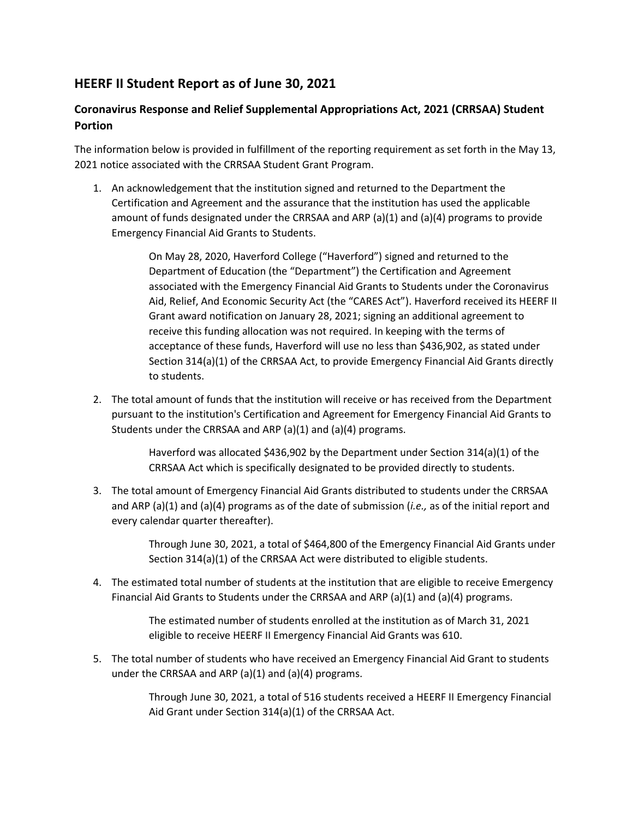## **HEERF II Student Report as of June 30, 2021**

## **Coronavirus Response and Relief Supplemental Appropriations Act, 2021 (CRRSAA) Student Portion**

The information below is provided in fulfillment of the reporting requirement as set forth in the May 13, 2021 notice associated with the CRRSAA Student Grant Program.

1. An acknowledgement that the institution signed and returned to the Department the Certification and Agreement and the assurance that the institution has used the applicable amount of funds designated under the CRRSAA and ARP (a)(1) and (a)(4) programs to provide Emergency Financial Aid Grants to Students.

> On May 28, 2020, Haverford College ("Haverford") signed and returned to the Department of Education (the "Department") the Certification and Agreement associated with the Emergency Financial Aid Grants to Students under the Coronavirus Aid, Relief, And Economic Security Act (the "CARES Act"). Haverford received its HEERF II Grant award notification on January 28, 2021; signing an additional agreement to receive this funding allocation was not required. In keeping with the terms of acceptance of these funds, Haverford will use no less than \$436,902, as stated under Section 314(a)(1) of the CRRSAA Act, to provide Emergency Financial Aid Grants directly to students.

2. The total amount of funds that the institution will receive or has received from the Department pursuant to the institution's Certification and Agreement for Emergency Financial Aid Grants to Students under the CRRSAA and ARP (a)(1) and (a)(4) programs.

> Haverford was allocated \$436,902 by the Department under Section 314(a)(1) of the CRRSAA Act which is specifically designated to be provided directly to students.

3. The total amount of Emergency Financial Aid Grants distributed to students under the CRRSAA and ARP (a)(1) and (a)(4) programs as of the date of submission (*i.e.,* as of the initial report and every calendar quarter thereafter).

> Through June 30, 2021, a total of \$464,800 of the Emergency Financial Aid Grants under Section 314(a)(1) of the CRRSAA Act were distributed to eligible students.

4. The estimated total number of students at the institution that are eligible to receive Emergency Financial Aid Grants to Students under the CRRSAA and ARP (a)(1) and (a)(4) programs.

> The estimated number of students enrolled at the institution as of March 31, 2021 eligible to receive HEERF II Emergency Financial Aid Grants was 610.

5. The total number of students who have received an Emergency Financial Aid Grant to students under the CRRSAA and ARP (a)(1) and (a)(4) programs.

> Through June 30, 2021, a total of 516 students received a HEERF II Emergency Financial Aid Grant under Section 314(a)(1) of the CRRSAA Act.